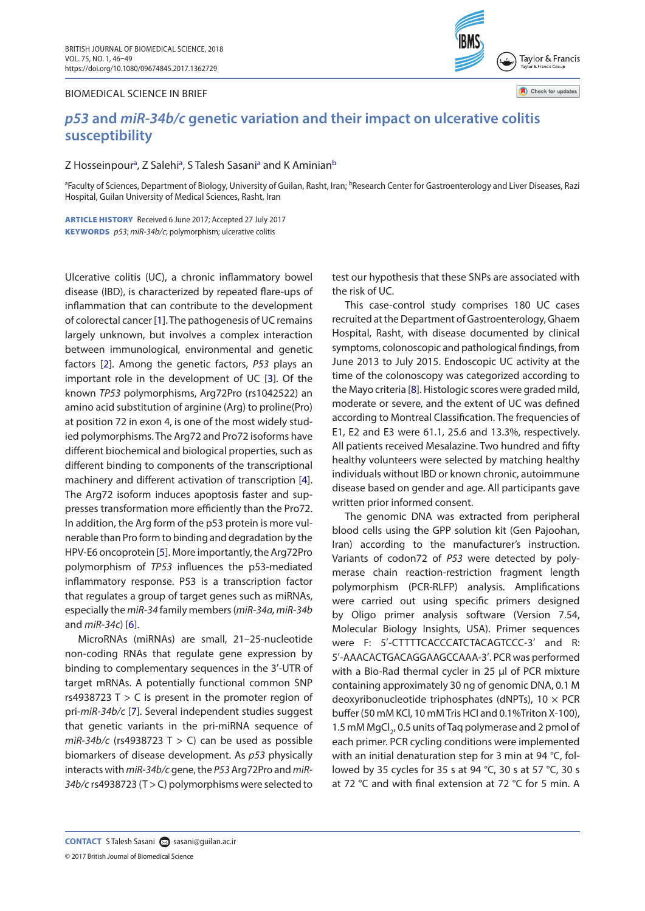## BIOMEDICAL SCIENCE IN BRIEF



Check for updates

# *p53* **and** *miR-34b/c* **genetic variation and their impact on ulcerative colitis susceptibility**

## Z Hosseinpour<sup>a</sup>, Z Salehi<sup>a</sup>, S Talesh Sasani<sup>a</sup> and K Amin[ia](#page-0-0)n<sup>[b](#page-0-1)</sup>

<span id="page-0-1"></span><span id="page-0-0"></span><sup>a</sup>Faculty of Sciences, Department of Biology, University of Guilan, Rasht, Iran; <sup>b</sup>Research Center for Gastroenterology and Liver Diseases, Razi Hospital, Guilan University of Medical Sciences, Rasht, Iran

ARTICLE HISTORY Received 6 June 2017; Accepted 27 July 2017 KEYWORDS *p53*; *miR*-*34b/c*; polymorphism; ulcerative colitis

<span id="page-0-3"></span>Ulcerative colitis (UC), a chronic inflammatory bowel disease (IBD), is characterized by repeated flare-ups of inflammation that can contribute to the development of colorectal cancer [[1](#page-2-0)]. The pathogenesis of UC remains largely unknown, but involves a complex interaction between immunological, environmental and genetic factors [\[2\]](#page-2-1). Among the genetic factors, *P53* plays an important role in the development of UC [[3](#page-2-2)]. Of the known *TP53* polymorphisms, Arg72Pro (rs1042522) an amino acid substitution of arginine (Arg) to proline(Pro) at position 72 in exon 4, is one of the most widely studied polymorphisms. The Arg72 and Pro72 isoforms have different biochemical and biological properties, such as different binding to components of the transcriptional machinery and different activation of transcription [[4\]](#page-2-3). The Arg72 isoform induces apoptosis faster and suppresses transformation more efficiently than the Pro72. In addition, the Arg form of the p53 protein is more vulnerable than Pro form to binding and degradation by the HPV-E6 oncoprotein [\[5](#page-3-0)]. More importantly, the Arg72Pro polymorphism of *TP53* influences the p53-mediated inflammatory response. P53 is a transcription factor that regulates a group of target genes such as miRNAs, especially the *miR*-*34* family members (*miR*-*34a, miR*-*34b* and *miR*-*34c*) [[6\]](#page-3-1).

<span id="page-0-8"></span><span id="page-0-7"></span>MicroRNAs (miRNAs) are small, 21–25-nucleotide non-coding RNAs that regulate gene expression by binding to complementary sequences in the 3′-UTR of target mRNAs. A potentially functional common SNP rs4938723 T  $>$  C is present in the promoter region of pri-*miR*-*34b/c* [\[7](#page-3-2)]. Several independent studies suggest that genetic variants in the pri-miRNA sequence of  $miR-34b/c$  (rs4938723 T  $>$  C) can be used as possible biomarkers of disease development. As *p53* physically interacts with *miR-34b/c* gene, the *P53* Arg72Pro and *miR*-*34b/c* rs4938723 (T > C) polymorphisms were selected to

test our hypothesis that these SNPs are associated with the risk of UC.

<span id="page-0-9"></span><span id="page-0-4"></span><span id="page-0-2"></span>This case-control study comprises 180 UC cases recruited at the Department of Gastroenterology, Ghaem Hospital, Rasht, with disease documented by clinical symptoms, colonoscopic and pathological findings, from June 2013 to July 2015. Endoscopic UC activity at the time of the colonoscopy was categorized according to the Mayo criteria [\[8\]](#page-3-3). Histologic scores were graded mild, moderate or severe, and the extent of UC was defined according to Montreal Classification. The frequencies of E1, E2 and E3 were 61.1, 25.6 and 13.3%, respectively. All patients received Mesalazine. Two hundred and fifty healthy volunteers were selected by matching healthy individuals without IBD or known chronic, autoimmune disease based on gender and age. All participants gave written prior informed consent.

<span id="page-0-6"></span><span id="page-0-5"></span>The genomic DNA was extracted from peripheral blood cells using the GPP solution kit (Gen Pajoohan, Iran) according to the manufacturer's instruction. Variants of codon72 of *P53* were detected by polymerase chain reaction-restriction fragment length polymorphism (PCR-RLFP) analysis. Amplifications were carried out using specific primers designed by Oligo primer analysis software (Version 7.54, Molecular Biology Insights, USA). Primer sequences were F: 5'-CTTTTCACCCATCTACAGTCCC-3' and R: 5′-AAACACTGACAGGAAGCCAAA-3′. PCR was performed with a Bio-Rad thermal cycler in 25 μl of PCR mixture containing approximately 30 ng of genomic DNA, 0.1 M deoxyribonucleotide triphosphates (dNPTs),  $10 \times PCR$ buffer (50 mM KCl, 10 mM Tris HCl and 0.1%Triton X-100), 1.5 mM MgCl<sub>2</sub>, 0.5 units of Taq polymerase and 2 pmol of each primer. PCR cycling conditions were implemented with an initial denaturation step for 3 min at 94 °C, followed by 35 cycles for 35 s at 94 °C, 30 s at 57 °C, 30 s at 72 °C and with final extension at 72 °C for 5 min. A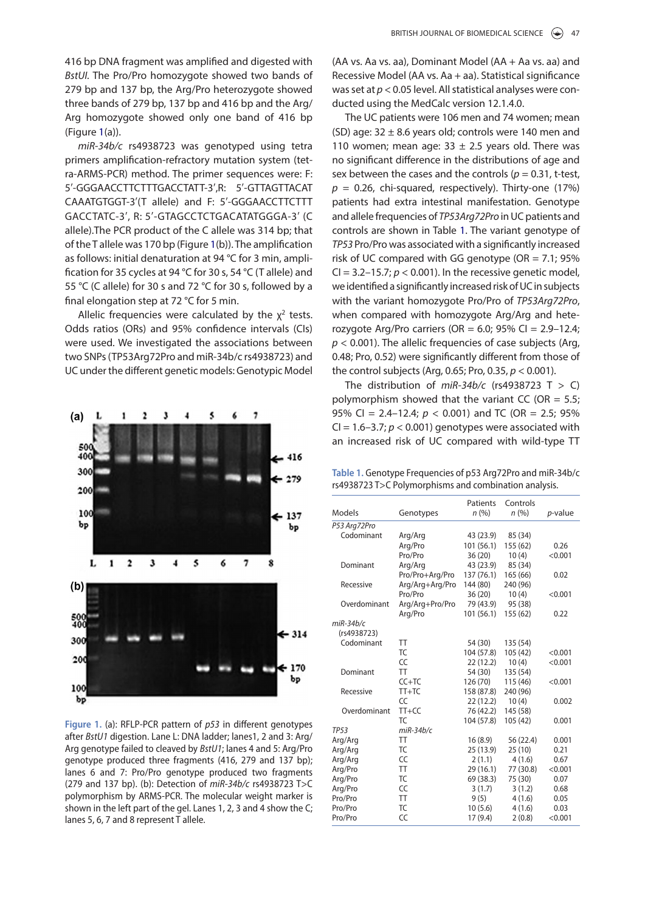416 bp DNA fragment was amplified and digested with *BstUI.* The Pro/Pro homozygote showed two bands of 279 bp and 137 bp, the Arg/Pro heterozygote showed three bands of 279 bp, 137 bp and 416 bp and the Arg/ Arg homozygote showed only one band of 416 bp (Figure [1](#page-1-0)(a)).

*miR*-*34b/c* rs4938723 was genotyped using tetra primers amplification-refractory mutation system (tetra-ARMS-PCR) method. The primer sequences were: F: 5′-GGGAACCTTCTTTGACCTATT-3′,R: 5′-GTTAGTTACAT CAAATGTGGT-3′(T allele) and F: 5′-GGGAACCTTCTTT GACCTATC-3′, R: 5′-GTAGCCTCTGACATATGGGA-3′ (C allele).The PCR product of the C allele was 314 bp; that of the T allele was 170 bp (Figure [1](#page-1-0)(b)). The amplification as follows: initial denaturation at 94 °C for 3 min, amplification for 35 cycles at 94 °C for 30 s, 54 °C (T allele) and 55 °C (C allele) for 30 s and 72 °C for 30 s, followed by a final elongation step at 72 °C for 5 min.

Allelic frequencies were calculated by the  $x^2$  tests. Odds ratios (ORs) and 95% confidence intervals (CIs) were used. We investigated the associations between two SNPs (TP53Arg72Pro and miR-34b/c rs4938723) and UC under the different genetic models: Genotypic Model



<span id="page-1-0"></span>**Figure 1.** (a): RFLP-PCR pattern of *p53* in different genotypes after *BstU1* digestion. Lane L: DNA ladder; lanes1, 2 and 3: Arg/ Arg genotype failed to cleaved by *BstU1*; lanes 4 and 5: Arg/Pro genotype produced three fragments (416, 279 and 137 bp); lanes 6 and 7: Pro/Pro genotype produced two fragments (279 and 137 bp). (b): Detection of *miR*-*34b/c* rs4938723 T>C polymorphism by ARMS-PCR. The molecular weight marker is shown in the left part of the gel. Lanes 1, 2, 3 and 4 show the C; lanes 5, 6, 7 and 8 represent T allele.

(AA vs. Aa vs. aa), Dominant Model (AA + Aa vs. aa) and Recessive Model (AA vs. Aa + aa). Statistical significance was set at *p* < 0.05 level. All statistical analyses were conducted using the MedCalc version 12.1.4.0.

The UC patients were 106 men and 74 women; mean (SD) age:  $32 \pm 8.6$  years old; controls were 140 men and 110 women; mean age:  $33 \pm 2.5$  years old. There was no significant difference in the distributions of age and sex between the cases and the controls ( $p = 0.31$ , t-test,  $p = 0.26$ , chi-squared, respectively). Thirty-one (17%) patients had extra intestinal manifestation. Genotype and allele frequencies of *TP53Arg72Pro* in UC patients and controls are shown in Table 1. The variant genotype of *TP53* Pro/Pro was associated with a significantly increased risk of UC compared with GG genotype (OR =  $7.1$ ; 95% CI =  $3.2-15.7$ ;  $p < 0.001$ ). In the recessive genetic model, we identified a significantly increased risk of UC in subjects with the variant homozygote Pro/Pro of *TP53Arg72Pro*, when compared with homozygote Arg/Arg and heterozygote Arg/Pro carriers (OR = 6.0; 95% CI =  $2.9-12.4$ ; *p* < 0.001). The allelic frequencies of case subjects (Arg, 0.48; Pro, 0.52) were significantly different from those of the control subjects (Arg, 0.65; Pro, 0.35, *p* < 0.001).

The distribution of *miR*-*34b/c* (rs4938723 T > C) polymorphism showed that the variant CC (OR =  $5.5$ ; 95% CI =  $2.4-12.4$ ;  $p < 0.001$ ) and TC (OR =  $2.5$ ; 95% CI =  $1.6-3.7$ ;  $p < 0.001$ ) genotypes were associated with an increased risk of UC compared with wild-type TT

**Table 1.** Genotype Frequencies of p53 Arg72Pro and miR-34b/c rs4938723 T>C Polymorphisms and combination analysis.

|              |                 | Patients   | Controls  |                 |
|--------------|-----------------|------------|-----------|-----------------|
| Models       | Genotypes       | n(%)       | n (%)     | <i>p</i> -value |
| P53 Arg72Pro |                 |            |           |                 |
| Codominant   | Arg/Arg         | 43 (23.9)  | 85 (34)   |                 |
|              | Arg/Pro         | 101 (56.1) | 155 (62)  | 0.26            |
|              | Pro/Pro         | 36(20)     | 10(4)     | < 0.001         |
| Dominant     | Arg/Arg         | 43 (23.9)  | 85 (34)   |                 |
|              | Pro/Pro+Arg/Pro | 137 (76.1) | 165 (66)  | 0.02            |
| Recessive    | Arg/Arg+Arg/Pro | 144 (80)   | 240 (96)  |                 |
|              | Pro/Pro         | 36(20)     | 10(4)     | < 0.001         |
| Overdominant | Arg/Arg+Pro/Pro | 79 (43.9)  | 95 (38)   |                 |
|              | Arg/Pro         | 101(56.1)  | 155 (62)  | 0.22            |
| $miR-34b/c$  |                 |            |           |                 |
| (rs4938723)  |                 |            |           |                 |
| Codominant   | <b>TT</b>       | 54 (30)    | 135 (54)  |                 |
|              | T <sub>C</sub>  | 104 (57.8) | 105 (42)  | < 0.001         |
|              | CC              | 22(12.2)   | 10(4)     | < 0.001         |
| Dominant     | <b>TT</b>       | 54 (30)    | 135 (54)  |                 |
|              | $CC+TC$         | 126 (70)   | 115 (46)  | < 0.001         |
| Recessive    | $TT+TC$         | 158 (87.8) | 240 (96)  |                 |
|              | CC              | 22(12.2)   | 10(4)     | 0.002           |
| Overdominant | $TT+CC$         | 76 (42.2)  | 145 (58)  |                 |
|              | TC              | 104 (57.8) | 105 (42)  | 0.001           |
| <b>TP53</b>  | $miR-34b/c$     |            |           |                 |
| Arg/Arg      | <b>TT</b>       | 16(8.9)    | 56 (22.4) | 0.001           |
| Arg/Arg      | TC              | 25 (13.9)  | 25(10)    | 0.21            |
| Arg/Arg      | CC              | 2(1.1)     | 4(1.6)    | 0.67            |
| Arg/Pro      | <b>TT</b>       | 29(16.1)   | 77 (30.8) | < 0.001         |
| Arg/Pro      | <b>TC</b>       | 69 (38.3)  | 75 (30)   | 0.07            |
| Arg/Pro      | CC              | 3(1.7)     | 3(1.2)    | 0.68            |
| Pro/Pro      | <b>TT</b>       | 9(5)       | 4(1.6)    | 0.05            |
| Pro/Pro      | <b>TC</b>       | 10(5.6)    | 4(1.6)    | 0.03            |
| Pro/Pro      | CC              | 17(9.4)    | 2(0.8)    | < 0.001         |
|              |                 |            |           |                 |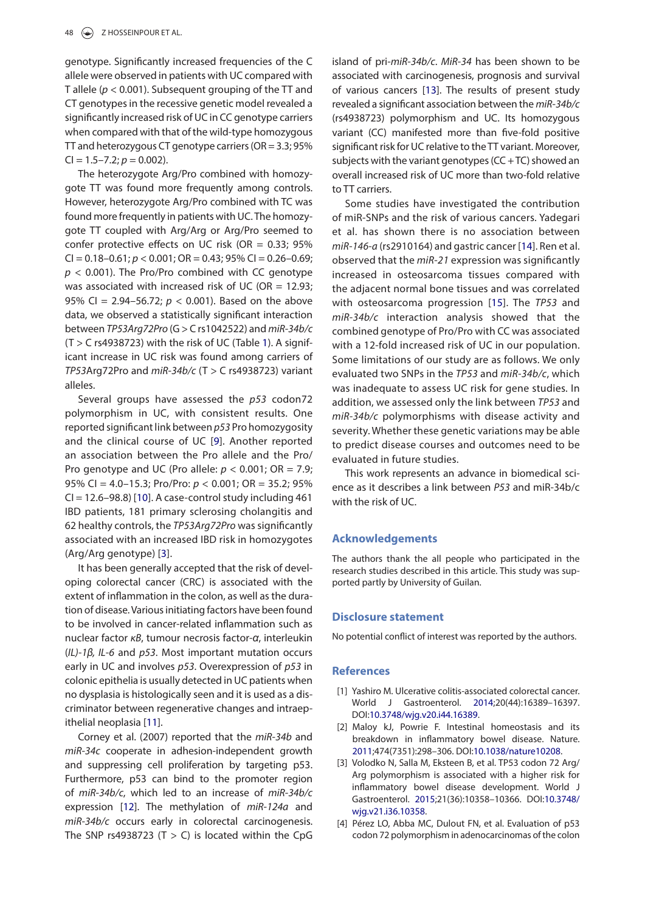genotype. Significantly increased frequencies of the C allele were observed in patients with UC compared with T allele (*p* < 0.001). Subsequent grouping of the TT and CT genotypes in the recessive genetic model revealed a significantly increased risk of UC in CC genotype carriers when compared with that of the wild-type homozygous TT and heterozygous CT genotype carriers (OR = 3.3; 95%  $Cl = 1.5 - 7.2; p = 0.002$ .

The heterozygote Arg/Pro combined with homozygote TT was found more frequently among controls. However, heterozygote Arg/Pro combined with TC was found more frequently in patients with UC. The homozygote TT coupled with Arg/Arg or Arg/Pro seemed to confer protective effects on UC risk (OR  $= 0.33$ ; 95% CI = 0.18–0.61; *p* < 0.001; OR = 0.43; 95% CI = 0.26–0.69;  $p$  < 0.001). The Pro/Pro combined with CC genotype was associated with increased risk of UC (OR  $= 12.93$ ; 95% CI =  $2.94-56.72$ ;  $p < 0.001$ ). Based on the above data, we observed a statistically significant interaction between *TP53Arg72Pro* (G > C rs1042522) and *miR*-*34b/c*  $(T > C$  rs4938723) with the risk of UC (Table 1). A significant increase in UC risk was found among carriers of *TP53*Arg72Pro and *miR*-*34b/c* (T > C rs4938723) variant alleles.

Several groups have assessed the *p53* codon72 polymorphism in UC, with consistent results. One reported significant link between *p53* Pro homozygosity and the clinical course of UC [\[9\]](#page-3-4). Another reported an association between the Pro allele and the Pro/ Pro genotype and UC (Pro allele: *p* < 0.001; OR = 7.9; 95% CI = 4.0–15.3; Pro/Pro: *p* < 0.001; OR = 35.2; 95%  $Cl = 12.6-98.8$ ) [\[10\]](#page-3-5). A case-control study including 461 IBD patients, 181 primary sclerosing cholangitis and 62 healthy controls, the *TP53Arg72Pro* was significantly associated with an increased IBD risk in homozygotes (Arg/Arg genotype) [[3\]](#page-2-2).

It has been generally accepted that the risk of developing colorectal cancer (CRC) is associated with the extent of inflammation in the colon, as well as the duration of disease. Various initiating factors have been found to be involved in cancer-related inflammation such as nuclear factor *κB*, tumour necrosis factor-*α*, interleukin (*IL)*-*1β, IL*-*6* and *p53*. Most important mutation occurs early in UC and involves *p53*. Overexpression of *p53* in colonic epithelia is usually detected in UC patients when no dysplasia is histologically seen and it is used as a discriminator between regenerative changes and intraepithelial neoplasia [\[11](#page-3-6)].

<span id="page-2-6"></span>Corney et al. (2007) reported that the *miR*-*34b* and *miR*-*34c* cooperate in adhesion-independent growth and suppressing cell proliferation by targeting p53. Furthermore, p53 can bind to the promoter region of *miR*-*34b/c*, which led to an increase of *miR*-*34b/c* expression [[12\]](#page-3-7). The methylation of *miR*-*124a* and *miR*-*34b/c* occurs early in colorectal carcinogenesis. The SNP rs4938723 (T  $>$  C) is located within the CpG

<span id="page-2-7"></span>island of pri-*miR*-*34b/c*. *MiR*-*34* has been shown to be associated with carcinogenesis, prognosis and survival of various cancers [[13\]](#page-3-8). The results of present study revealed a significant association between the *miR*-*34b/c* (rs4938723) polymorphism and UC. Its homozygous variant (CC) manifested more than five-fold positive significant risk for UC relative to the TT variant. Moreover, subjects with the variant genotypes ( $CC + TC$ ) showed an overall increased risk of UC more than two-fold relative to TT carriers.

<span id="page-2-9"></span><span id="page-2-8"></span>Some studies have investigated the contribution of miR-SNPs and the risk of various cancers. Yadegari et al. has shown there is no association between *miR*-*146*-*a* (rs2910164) and gastric cancer [\[14\]](#page-3-9). Ren et al. observed that the *miR*-*21* expression was significantly increased in osteosarcoma tissues compared with the adjacent normal bone tissues and was correlated with osteosarcoma progression [[15](#page-3-10)]. The *TP53* and *miR*-*34b/c* interaction analysis showed that the combined genotype of Pro/Pro with CC was associated with a 12-fold increased risk of UC in our population. Some limitations of our study are as follows. We only evaluated two SNPs in the *TP53* and *miR-34b/c*, which was inadequate to assess UC risk for gene studies. In addition, we assessed only the link between *TP53* and *miR-34b/c* polymorphisms with disease activity and severity. Whether these genetic variations may be able to predict disease courses and outcomes need to be evaluated in future studies.

<span id="page-2-10"></span><span id="page-2-4"></span>This work represents an advance in biomedical science as it describes a link between *P53* and miR-34b/c with the risk of UC.

## **Acknowledgements**

The authors thank the all people who participated in the research studies described in this article. This study was supported partly by University of Guilan.

### **Disclosure statement**

No potential conflict of interest was reported by the authors.

#### **References**

- <span id="page-2-0"></span>[1] Yashiro M. Ulcerative colitis-associated colorectal cancer. World J Gastroenterol. [2014](#page-0-2);20(44):16389–16397. DOI[:10.3748/wjg.v20.i44.16389](https://doi.org/10.3748/wjg.v20.i44.16389).
- <span id="page-2-5"></span><span id="page-2-1"></span>[2] Maloy kJ, Powrie F. Intestinal homeostasis and its breakdown in inflammatory bowel disease. Nature. [2011;](#page-0-3)474(7351):298–306. DOI[:10.1038/nature10208.](https://doi.org/10.1038/nature10208)
- <span id="page-2-2"></span>[3] Volodko N, Salla M, Eksteen B, et al. TP53 codon 72 Arg/ Arg polymorphism is associated with a higher risk for inflammatory bowel disease development. World J Gastroenterol. [2015;](#page-0-4)21(36):10358–10366. DOI:[10.3748/](https://doi.org/10.3748/wjg.v21.i36.10358) [wjg.v21.i36.10358](https://doi.org/10.3748/wjg.v21.i36.10358).
- <span id="page-2-3"></span>[4] Pérez LO, Abba MC, Dulout FN, et al. Evaluation of p53 codon 72 polymorphism in adenocarcinomas of the colon